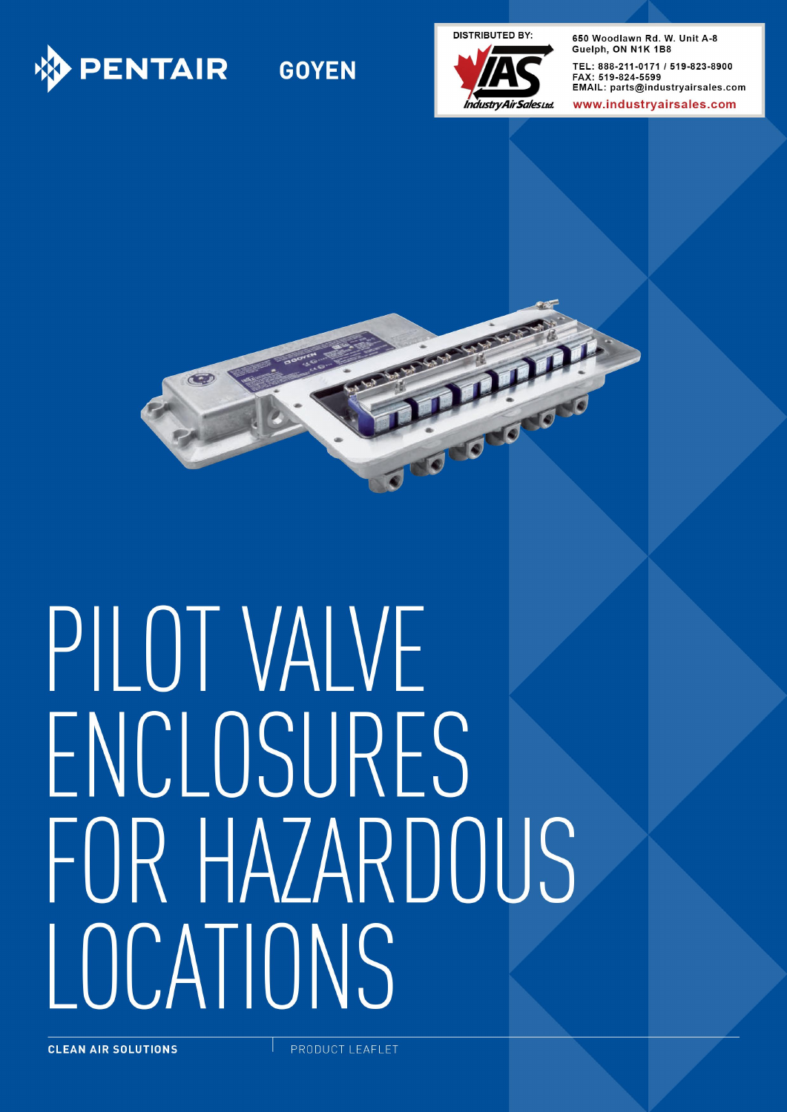

# **GOYEN**

**DISTRIBUTED BY:** 



650 Woodlawn Rd. W. Unit A-8 Guelph, ON N1K 1B8 TEL: 888-211-0171 / 519-823-8900 FAX: 519-824-5599 EMAIL: parts@industryairsales.com

www.industrvairsales.com



# PILOT VAIVE ENCLOSURES FOR HAZARDOUS LOCATIONS

PRODUCT LEAFLET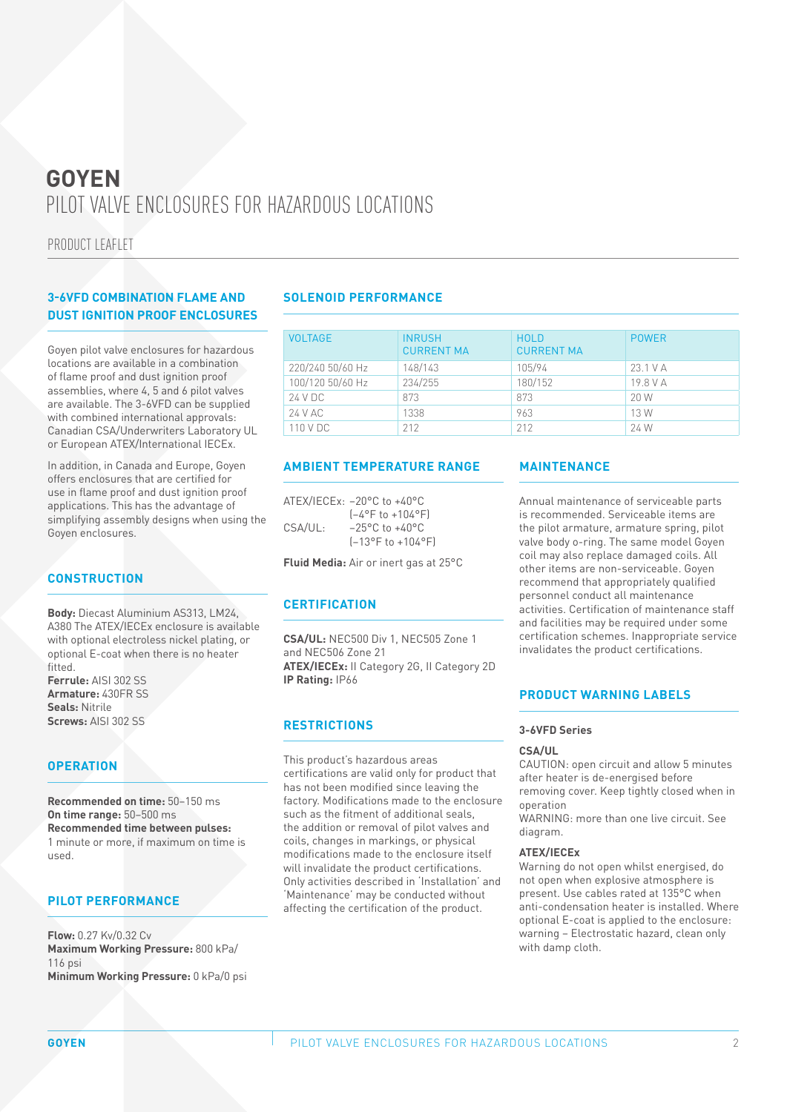PRODUCT LEAFLET

#### **3-6VFD COMBINATION FLAME AND DUST IGNITION PROOF ENCLOSURES**

Goyen pilot valve enclosures for hazardous locations are available in a combination of flame proof and dust ignition proof assemblies, where 4, 5 and 6 pilot valves are available. The 3-6VFD can be supplied with combined international approvals: Canadian CSA/Underwriters Laboratory UL or European ATEX/International IECEx.

In addition, in Canada and Europe, Goyen offers enclosures that are certified for use in flame proof and dust ignition proof applications. This has the advantage of simplifying assembly designs when using the Goyen enclosures.

#### **CONSTRUCTION**

**Body:** Diecast Aluminium AS313, LM24, A380 The ATEX/IECEx enclosure is available with optional electroless nickel plating, or optional E-coat when there is no heater fitted.

**Ferrule:** AISI 302 SS **Armature:** 430FR SS **Seals:** Nitrile **Screws:** AISI 302 SS

#### **OPERATION**

**Recommended on time:** 50–150 ms **On time range:** 50–500 ms **Recommended time between pulses:** 1 minute or more, if maximum on time is used.

#### **PILOT PERFORMANCE**

**Flow:** 0.27 Kv/0.32 Cv **Maximum Working Pressure:** 800 kPa/ 116 psi **Minimum Working Pressure:** 0 kPa/0 psi

#### **SOLENOID PERFORMANCE**

| <b>VOLTAGE</b>   | <b>INRUSH</b><br><b>CURRENT MA</b> | <b>HOLD</b><br><b>CURRENT MA</b> | <b>POWER</b> |
|------------------|------------------------------------|----------------------------------|--------------|
| 220/240 50/60 Hz | 148/143                            | 105/94                           | $23.1$ V A   |
| 100/120 50/60 Hz | 234/255                            | 180/152                          | 19.8 V A     |
| 24 V DC          | 873                                | 873                              | 20 W         |
| 24 V AC          | 1338                               | 963                              | 13 W         |
| 110 V DC         | 212                                | 212                              | 24 W         |

#### **AMBIENT TEMPERATURE RANGE**

|         | ATEX/IECEx: $-20^{\circ}$ C to $+40^{\circ}$ C |
|---------|------------------------------------------------|
|         | $[-4^{\circ}$ F to +104°F)                     |
| CSA/UL: | $-25^{\circ}$ C to $+40^{\circ}$ C             |
|         | $[-13^{\circ}$ F to $+104^{\circ}$ F)          |

**Fluid Media:** Air or inert gas at 25°C

#### **CERTIFICATION**

**CSA/UL:** NEC500 Div 1, NEC505 Zone 1 and NEC506 Zone 21 **ATEX/IECEx:** II Category 2G, II Category 2D **IP Rating:** IP66

#### **RESTRICTIONS**

This product's hazardous areas certifications are valid only for product that has not been modified since leaving the factory. Modifications made to the enclosure such as the fitment of additional seals, the addition or removal of pilot valves and coils, changes in markings, or physical modifications made to the enclosure itself will invalidate the product certifications. Only activities described in 'Installation' and 'Maintenance' may be conducted without affecting the certification of the product.

#### **MAINTENANCE**

Annual maintenance of serviceable parts is recommended. Serviceable items are the pilot armature, armature spring, pilot valve body o-ring. The same model Goyen coil may also replace damaged coils. All other items are non-serviceable. Goyen recommend that appropriately qualified personnel conduct all maintenance activities. Certification of maintenance staff and facilities may be required under some certification schemes. Inappropriate service invalidates the product certifications.

#### **PRODUCT WARNING LABELS**

#### **3-6VFD Series**

#### **CSA/UL**

CAUTION: open circuit and allow 5 minutes after heater is de-energised before removing cover. Keep tightly closed when in operation

WARNING: more than one live circuit. See diagram.

#### **ATEX/IECEx**

Warning do not open whilst energised, do not open when explosive atmosphere is present. Use cables rated at 135°C when anti-condensation heater is installed. Where optional E-coat is applied to the enclosure: warning – Electrostatic hazard, clean only with damp cloth.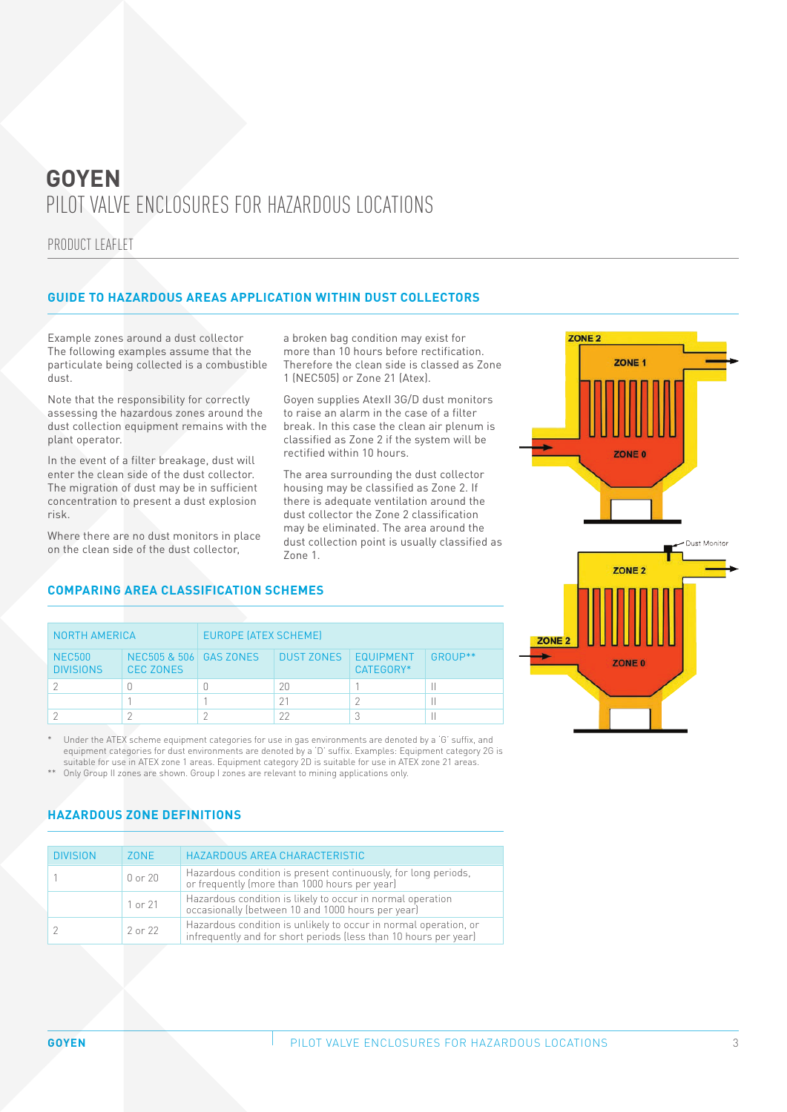PRODUCT LEAFLET

#### **GUIDE TO HAZARDOUS AREAS APPLICATION WITHIN DUST COLLECTORS**

Example zones around a dust collector The following examples assume that the particulate being collected is a combustible dust.

Note that the responsibility for correctly assessing the hazardous zones around the dust collection equipment remains with the plant operator.

In the event of a filter breakage, dust will enter the clean side of the dust collector. The migration of dust may be in sufficient concentration to present a dust explosion risk.

Where there are no dust monitors in place on the clean side of the dust collector,

**COMPARING AREA CLASSIFICATION SCHEMES**

NORTH AMERICA EUROPE (ATEX SCHEME)

a broken bag condition may exist for more than 10 hours before rectification. Therefore the clean side is classed as Zone 1 (NEC505) or Zone 21 (Atex).

Goyen supplies AtexII 3G/D dust monitors to raise an alarm in the case of a filter break. In this case the clean air plenum is classified as Zone 2 if the system will be rectified within 10 hours.

The area surrounding the dust collector housing may be classified as Zone 2. If there is adequate ventilation around the dust collector the Zone 2 classification may be eliminated. The area around the dust collection point is usually classified as Zone 1.



| <b>NEC500</b><br><b>DIVISIONS</b> | NEC505 & 506 GAS ZONES<br><b>CEC ZONES</b> | <b>DUST ZONES</b> | <b>EQUIPMENT</b><br>CATEGORY* | GROUP** |
|-----------------------------------|--------------------------------------------|-------------------|-------------------------------|---------|
|                                   |                                            | 20                |                               |         |
|                                   |                                            |                   |                               |         |
|                                   |                                            | つつ                |                               |         |
|                                   |                                            |                   |                               |         |

Under the ATEX scheme equipment categories for use in gas environments are denoted by a 'G' suffix, and equipment categories for dust environments are denoted by a 'D' suffix. Examples: Equipment category 2G is suitable for use in ATEX zone 1 areas. Equipment category 2D is suitable for use in ATEX zone 21 areas.

\*\* Only Group II zones are shown. Group I zones are relevant to mining applications only.

### **HAZARDOUS ZONE DEFINITIONS**

| <b>DIVISION</b> | 70NF    | HAZARDOUS AREA CHARACTERISTIC                                                                                                        |
|-----------------|---------|--------------------------------------------------------------------------------------------------------------------------------------|
|                 | 0 or 20 | Hazardous condition is present continuously, for long periods,<br>or frequently (more than 1000 hours per year)                      |
|                 | 1 or 21 | Hazardous condition is likely to occur in normal operation<br>occasionally (between 10 and 1000 hours per year)                      |
|                 | 2 or 22 | Hazardous condition is unlikely to occur in normal operation, or<br>infrequently and for short periods (less than 10 hours per year) |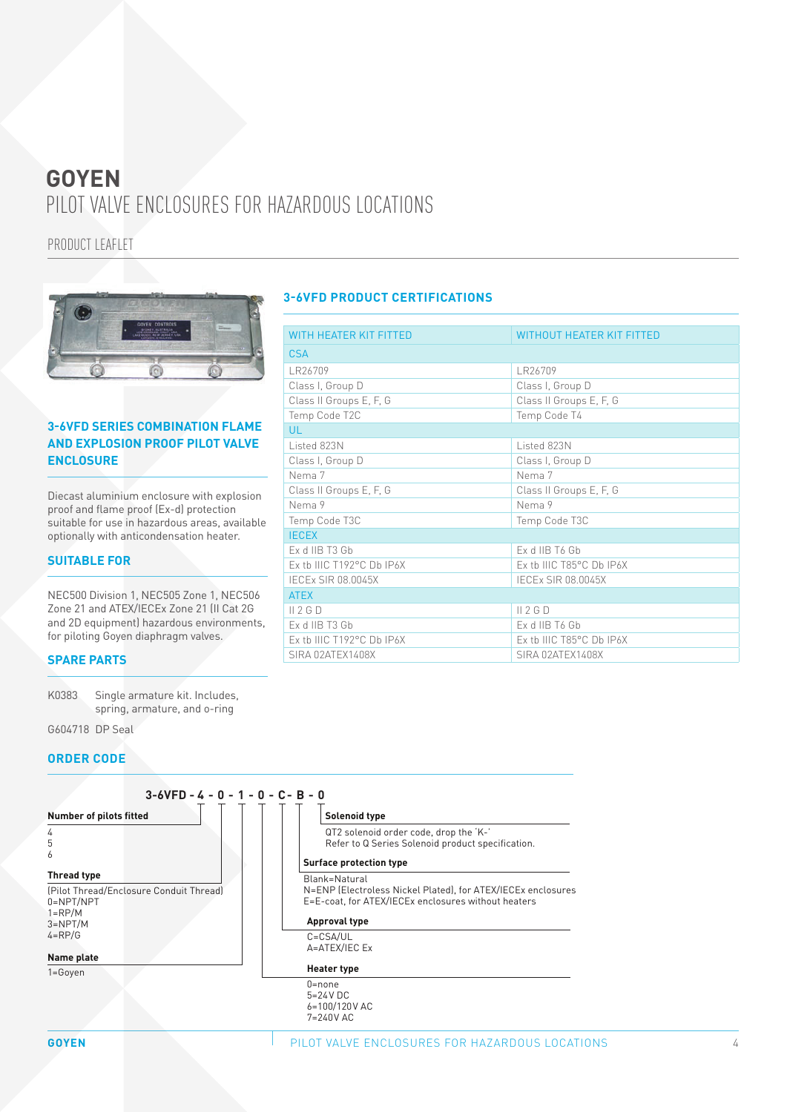PRODUCT LEAFLET



#### **3-6VFD SERIES COMBINATION FLAME AND EXPLOSION PROOF PILOT VALVE ENCLOSURE**

Diecast aluminium enclosure with explosion proof and flame proof (Ex-d) protection suitable for use in hazardous areas, available optionally with anticondensation heater.

#### **SUITABLE FOR**

NEC500 Division 1, NEC505 Zone 1, NEC506 Zone 21 and ATEX/IECEx Zone 21 (II Cat 2G and 2D equipment) hazardous environments, for piloting Goyen diaphragm valves.

#### **SPARE PARTS**

K0383 Single armature kit. Includes, spring, armature, and o-ring

G604718 DP Seal

#### **ORDER CODE**



#### **3-6VFD PRODUCT CERTIFICATIONS**

| <b>WITH HEATER KIT FITTED</b> | <b>WITHOUT HEATER KIT FITTED</b> |
|-------------------------------|----------------------------------|
| <b>CSA</b>                    |                                  |
| LR26709                       | LR26709                          |
| Class I, Group D              | Class I, Group D                 |
| Class II Groups E, F, G       | Class II Groups E, F, G          |
| Temp Code T2C                 | Temp Code T4                     |
| UL.                           |                                  |
| Listed 823N                   | Listed 823N                      |
| Class I, Group D              | Class I, Group D                 |
| Nema 7                        | Nema 7                           |
| Class II Groups E, F, G       | Class II Groups E, F, G          |
| Nema 9                        | Nema 9                           |
| Temp Code T3C                 | Temp Code T3C                    |
| <b>IECEX</b>                  |                                  |
| Ex d IIB T3 Gb                | Ex d IIB T6 Gb                   |
| Ex tb IIIC T192°C Db IP6X     | Ex tb IIIC T85°C Db IP6X         |
| <b>IECEX SIR 08.0045X</b>     | <b>IECEX SIR 08.0045X</b>        |
| <b>ATEX</b>                   |                                  |
| II 2 G D                      | II 2 G D                         |
| Ex d IIB T3 Gb                | Ex d IIB T6 Gb                   |
| Ex tb IIIC T192°C Db IP6X     | Ex tb IIIC T85°C Db IP6X         |
| SIRA 02ATEX1408X              | SIRA 02ATEX1408X                 |
|                               |                                  |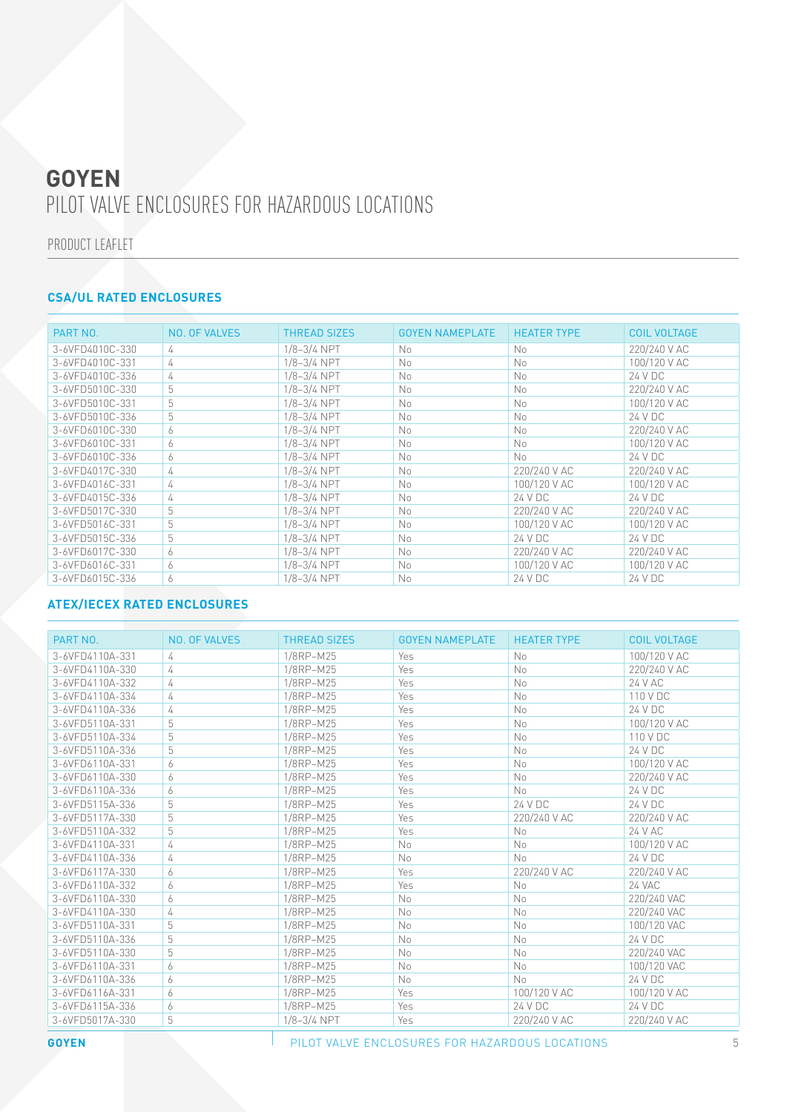PRODUCT LEAFLET

## **CSA/UL RATED ENCLOSURES**

| PART NO.        | NO. OF VALVES | <b>THREAD SIZES</b> | <b>GOYEN NAMEPLATE</b> | <b>HEATER TYPE</b> | <b>COIL VOLTAGE</b> |
|-----------------|---------------|---------------------|------------------------|--------------------|---------------------|
| 3-6VFD4010C-330 | 4             | $1/8 - 3/4$ NPT     | No                     | No.                | 220/240 V AC        |
| 3-6VFD4010C-331 | 4             | $1/8 - 3/4$ NPT     | No                     | No                 | 100/120 V AC        |
| 3-6VFD4010C-336 | 4             | $1/8 - 3/4$ NPT     | No                     | No                 | 24 V DC             |
| 3-6VFD5010C-330 | 5             | 1/8-3/4 NPT         | No                     | <b>No</b>          | 220/240 V AC        |
| 3-6VFD5010C-331 | 5             | 1/8-3/4 NPT         | No                     | No                 | 100/120 V AC        |
| 3-6VFD5010C-336 | 5             | $1/8 - 3/4$ NPT     | No                     | No                 | 24 V DC             |
| 3-6VFD6010C-330 | 6             | $1/8 - 3/4$ NPT     | No                     | No                 | 220/240 V AC        |
| 3-6VFD6010C-331 | 6             | $1/8 - 3/4$ NPT     | No                     | No                 | 100/120 V AC        |
| 3-6VFD6010C-336 | 6             | 1/8-3/4 NPT         | No                     | N <sub>0</sub>     | 24 V DC             |
| 3-6VFD4017C-330 | 4             | $1/8 - 3/4$ NPT     | No                     | 220/240 V AC       | 220/240 V AC        |
| 3-6VFD4016C-331 | 4             | $1/8 - 3/4$ NPT     | No                     | 100/120 V AC       | 100/120 V AC        |
| 3-6VFD4015C-336 | 4             | $1/8 - 3/4$ NPT     | No                     | 24 V DC            | 24 V DC             |
| 3-6VFD5017C-330 | 5             | $1/8 - 3/4$ NPT     | <b>No</b>              | 220/240 V AC       | 220/240 V AC        |
| 3-6VFD5016C-331 | 5             | $1/8 - 3/4$ NPT     | <b>No</b>              | 100/120 V AC       | 100/120 V AC        |
| 3-6VFD5015C-336 | 5             | $1/8 - 3/4$ NPT     | <b>No</b>              | 24 V DC            | 24 V DC             |
| 3-6VFD6017C-330 | 6             | $1/8 - 3/4$ NPT     | No                     | 220/240 V AC       | 220/240 V AC        |
| 3-6VFD6016C-331 | 6             | $1/8 - 3/4$ NPT     | No                     | 100/120 V AC       | 100/120 V AC        |
| 3-6VFD6015C-336 | 6             | $1/8 - 3/4$ NPT     | No                     | 24 V DC            | 24 V DC             |

#### **ATEX/IECEX RATED ENCLOSURES**

| PART NO.        | NO. OF VALVES | <b>THREAD SIZES</b> | <b>GOYEN NAMEPLATE</b> | <b>HEATER TYPE</b> | <b>COIL VOLTAGE</b> |
|-----------------|---------------|---------------------|------------------------|--------------------|---------------------|
| 3-6VFD4110A-331 | 4             | 1/8RP-M25           | Yes                    | No                 | 100/120 V AC        |
| 3-6VFD4110A-330 | 4             | 1/8RP-M25           | <b>Yes</b>             | No                 | 220/240 V AC        |
| 3-6VFD4110A-332 | 4             | 1/8RP-M25           | Yes                    | No                 | 24 V AC             |
| 3-6VFD4110A-334 | 4             | 1/8RP-M25           | Yes                    | No                 | 110 V DC            |
| 3-6VFD4110A-336 | 4             | 1/8RP-M25           | Yes                    | No                 | 24 V DC             |
| 3-6VFD5110A-331 | 5             | 1/8RP-M25           | Yes                    | No                 | 100/120 V AC        |
| 3-6VFD5110A-334 | 5             | 1/8RP-M25           | Yes                    | No                 | 110 V DC            |
| 3-6VFD5110A-336 | 5             | 1/8RP-M25           | Yes                    | No                 | 24 V DC             |
| 3-6VFD6110A-331 | 6             | 1/8RP-M25           | Yes                    | No                 | 100/120 V AC        |
| 3-6VFD6110A-330 | 6             | 1/8RP-M25           | Yes                    | No                 | 220/240 V AC        |
| 3-6VED6110A-336 | 6             | 1/8RP-M25           | Yes                    | No                 | 24 V DC             |
| 3-6VFD5115A-336 | 5             | 1/8RP-M25           | Yes                    | 24 V DC            | 24 V DC             |
| 3-6VFD5117A-330 | 5             | 1/8RP-M25           | Yes                    | 220/240 V AC       | 220/240 V AC        |
| 3-6VFD5110A-332 | 5             | 1/8RP-M25           | Yes                    | No                 | 24 V AC             |
| 3-6VFD4110A-331 | 4             | 1/8RP-M25           | No                     | No                 | 100/120 V AC        |
| 3-6VFD4110A-336 | 4             | 1/8RP-M25           | No                     | No                 | 24 V DC             |
| 3-6VFD6117A-330 | 6             | 1/8RP-M25           | Yes                    | 220/240 V AC       | 220/240 V AC        |
| 3-6VFD6110A-332 | 6             | 1/8RP-M25           | Yes                    | No                 | 24 VAC              |
| 3-6VFD6110A-330 | 6             | 1/8RP-M25           | No                     | No                 | 220/240 VAC         |
| 3-6VFD4110A-330 | 4             | 1/8RP-M25           | No                     | No                 | 220/240 VAC         |
| 3-6VFD5110A-331 | 5             | 1/8RP-M25           | No                     | N <sub>0</sub>     | 100/120 VAC         |
| 3-6VFD5110A-336 | 5             | 1/8RP-M25           | No                     | No                 | 24 V DC             |
| 3-6VFD5110A-330 | 5             | 1/8RP-M25           | No                     | No                 | 220/240 VAC         |
| 3-6VFD6110A-331 | 6             | 1/8RP-M25           | No                     | No                 | 100/120 VAC         |
| 3-6VFD6110A-336 | 6             | 1/8RP-M25           | No                     | No                 | 24 V DC             |
| 3-6VFD6116A-331 | 6             | 1/8RP-M25           | Yes                    | 100/120 V AC       | 100/120 V AC        |
| 3-6VFD6115A-336 | 6             | 1/8RP-M25           | Yes                    | 24 V DC            | 24 V DC             |
| 3-6VFD5017A-330 | 5             | $1/8 - 3/4$ NPT     | Yes                    | 220/240 V AC       | 220/240 V AC        |

#### **GOYEN PILOT VALVE ENCLOSURES FOR HAZARDOUS LOCATIONS**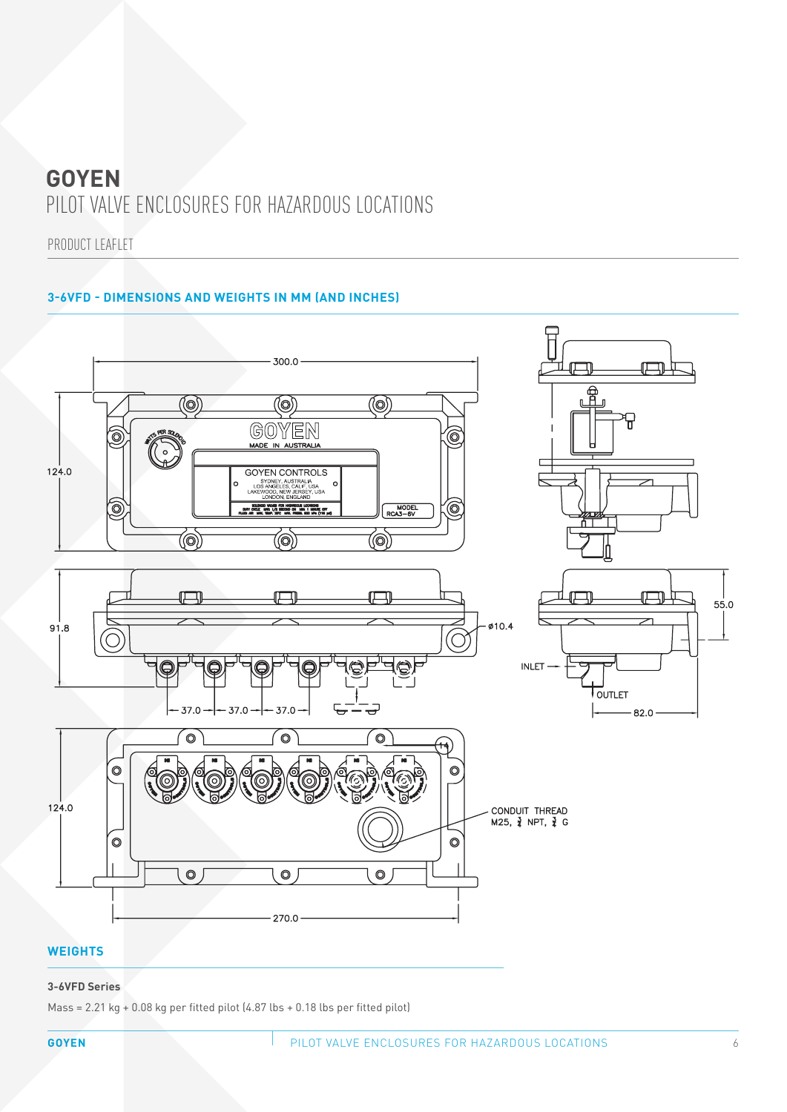PRODUCT LEAFLET

### **3-6VFD - DIMENSIONS AND WEIGHTS IN MM (AND INCHES)**



#### **WEIGHTS**

#### **3-6VFD Series**

Mass =  $2.21$  kg +  $0.08$  kg per fitted pilot  $(4.87$  lbs +  $0.18$  lbs per fitted pilot)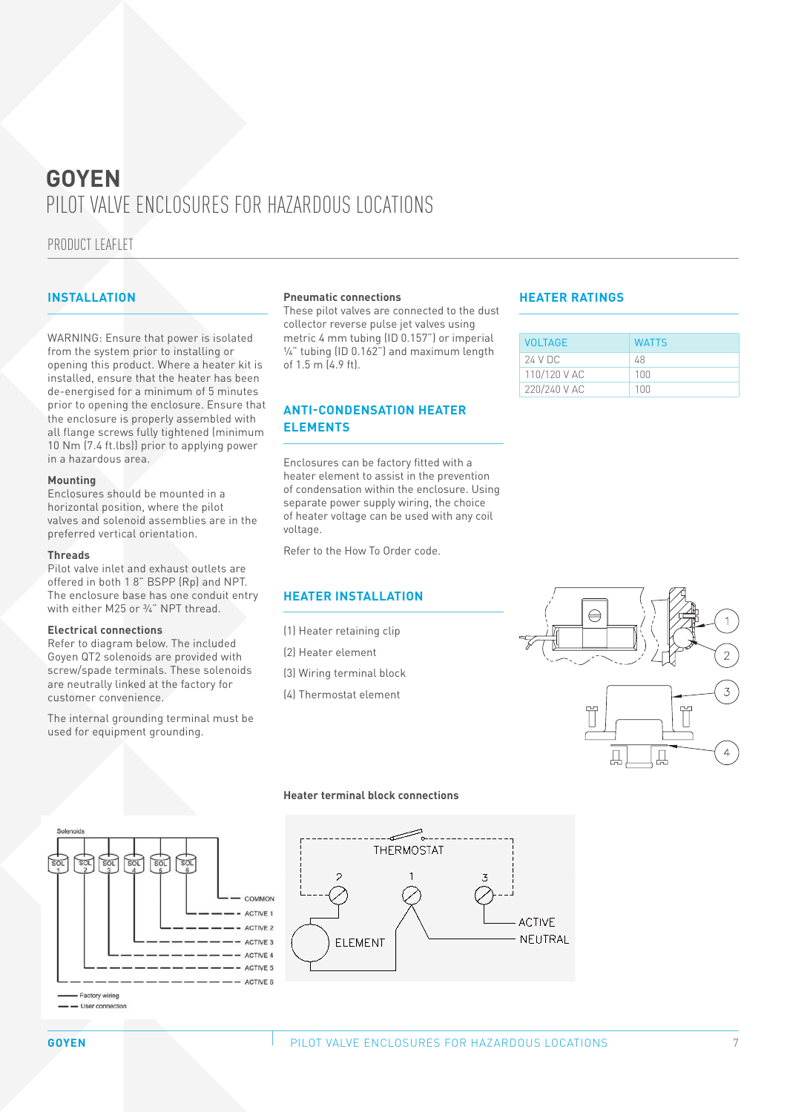PRODUCT LEAFLET

WARNING: Ensure that power is isolated from the system prior to installing or opening this product. Where a heater kit is installed, ensure that the heater has been de-energised for a minimum of 5 minutes prior to opening the enclosure. Ensure that the enclosure is properly assembled with all flange screws fully tightened (minimum 10 Nm (7.4 ft.lbs)) prior to applying power in a hazardous area.

#### **Mounting**

Enclosures should be mounted in a horizontal position, where the pilot valves and solenoid assemblies are in the preferred vertical orientation.

#### **Threads**

Pilot valve inlet and exhaust outlets are offered in both 1 8" BSPP (Rp) and NPT. The enclosure base has one conduit entry with either M25 or 3/4" NPT thread.

#### **Electrical connections**

Refer to diagram below. The included Goyen QT2 solenoids are provided with screw/spade terminals. These solenoids are neutrally linked at the factory for customer convenience.

The internal grounding terminal must be used for equipment grounding.

#### **INSTALLATION Pneumatic connections HEATER RATINGS**

These pilot valves are connected to the dust collector reverse pulse jet valves using metric 4 mm tubing (ID 0.157") or imperial ¼" tubing (ID 0.162") and maximum length of 1.5 m (4.9 ft).

#### **ANTI-CONDENSATION HEATER ELEMENTS**

Enclosures can be factory fitted with a heater element to assist in the prevention of condensation within the enclosure. Using separate power supply wiring, the choice of heater voltage can be used with any coil voltage.

Refer to the How To Order code.

#### **HEATER INSTALLATION**

- (1) Heater retaining clip
- (2) Heater element
- (3) Wiring terminal block
- (4) Thermostat element

| <b>VOLTAGE</b> | <b>WATTS</b>   |
|----------------|----------------|
| 24 V DC        | 48             |
| 110/120 V AC   | 100            |
| 220/240 V AC   | 1 <sub>0</sub> |





#### - User connection

#### **Heater terminal block connections**